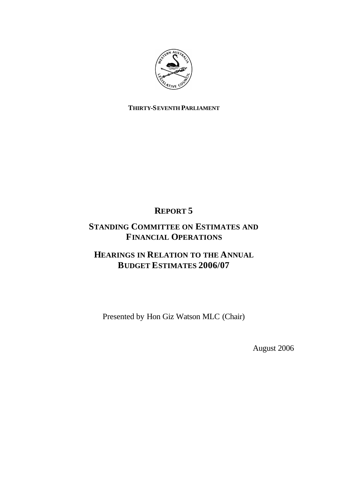

### **THIRTY-SEVENTH PARLIAMENT**

### **REPORT 5**

### **STANDING COMMITTEE ON ESTIMATES AND FINANCIAL OPERATIONS**

### **HEARINGS IN RELATION TO THE ANNUAL BUDGET ESTIMATES 2006/07**

Presented by Hon Giz Watson MLC (Chair)

August 2006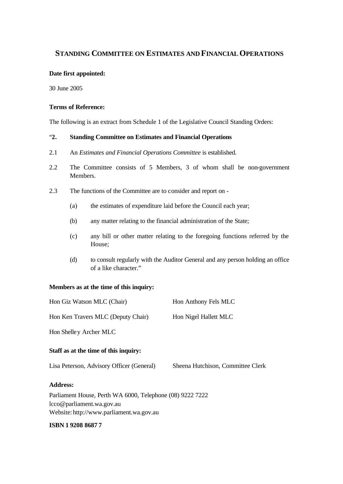### **STANDING COMMITTEE ON ESTIMATES AND FINANCIAL OPERATIONS**

### **Date first appointed:**

30 June 2005

### **Terms of Reference:**

The following is an extract from Schedule 1 of the Legislative Council Standing Orders:

### "**2. Standing Committee on Estimates and Financial Operations**

- 2.1 An *Estimates and Financial Operations Committee* is established.
- 2.2 The Committee consists of 5 Members, 3 of whom shall be non-government Members.
- 2.3 The functions of the Committee are to consider and report on
	- (a) the estimates of expenditure laid before the Council each year;
	- (b) any matter relating to the financial administration of the State;
	- (c) any bill or other matter relating to the foregoing functions referred by the House;
	- (d) to consult regularly with the Auditor General and any person holding an office of a like character."

### **Members as at the time of this inquiry:**

| Hon Giz Watson MLC (Chair)                                                              | Hon Anthony Fels MLC              |
|-----------------------------------------------------------------------------------------|-----------------------------------|
| Hon Ken Travers MLC (Deputy Chair)                                                      | Hon Nigel Hallett MLC             |
| Hon Shelley Archer MLC                                                                  |                                   |
| Staff as at the time of this inquiry:                                                   |                                   |
| Lisa Peterson, Advisory Officer (General)                                               | Sheena Hutchison, Committee Clerk |
| <b>Address:</b>                                                                         |                                   |
| $\Gamma_{\rm orb}$ Deviament House, $\Gamma_{\rm orb}$ WA 6000 Telephone (08) 0222 7222 |                                   |

Parliament House, Perth WA 6000, Telephone (08) 9222 7222 lcco@parliament.wa.gov.au Website: http://www.parliament.wa.gov.au

### **ISBN 1 9208 8687 7**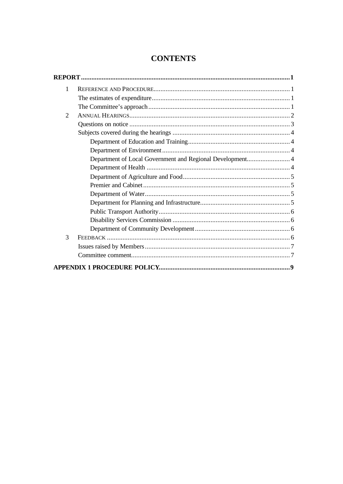### **CONTENTS**

| $\mathbf{1}$   |                                                           |  |
|----------------|-----------------------------------------------------------|--|
|                |                                                           |  |
|                |                                                           |  |
| $\overline{2}$ |                                                           |  |
|                |                                                           |  |
|                |                                                           |  |
|                |                                                           |  |
|                |                                                           |  |
|                | Department of Local Government and Regional Development 4 |  |
|                |                                                           |  |
|                |                                                           |  |
|                |                                                           |  |
|                |                                                           |  |
|                |                                                           |  |
|                |                                                           |  |
|                |                                                           |  |
|                |                                                           |  |
| 3              |                                                           |  |
|                |                                                           |  |
|                |                                                           |  |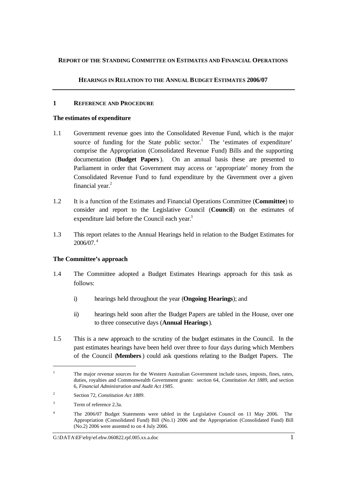### **REPORT OF THE STANDING COMMITTEE ON ESTIMATES AND FINANCIAL OPERATIONS**

### **HEARINGS IN RELATION TO THE ANNUAL BUDGET ESTIMATES 2006/07**

### **1 REFERENCE AND PROCEDURE**

### **The estimates of expenditure**

- 1.1 Government revenue goes into the Consolidated Revenue Fund, which is the major source of funding for the State public sector.<sup>1</sup> The 'estimates of expenditure' comprise the Appropriation (Consolidated Revenue Fund) Bills and the supporting documentation (**Budget Papers**). On an annual basis these are presented to Parliament in order that Government may access or 'appropriate' money from the Consolidated Revenue Fund to fund expenditure by the Government over a given financial year. $2$
- 1.2 It is a function of the Estimates and Financial Operations Committee (**Committee**) to consider and report to the Legislative Council (**Council**) on the estimates of expenditure laid before the Council each year.<sup>3</sup>
- 1.3 This report relates to the Annual Hearings held in relation to the Budget Estimates for  $2006/07.^4$

### **The Committee's approach**

- 1.4 The Committee adopted a Budget Estimates Hearings approach for this task as follows:
	- i) hearings held throughout the year (**Ongoing Hearings**); and
	- ii) hearings held soon after the Budget Papers are tabled in the House, over one to three consecutive days (**Annual Hearings**).
- 1.5 This is a new approach to the scrutiny of the budget estimates in the Council. In the past estimates hearings have been held over three to four days during which Members of the Council (**Members**) could ask questions relating to the Budget Papers. The

l

<sup>&</sup>lt;sup>1</sup> The major revenue sources for the Western Australian Government include taxes, imposts, fines, rates, duties, royalties and Commonwealth Government grants: section 64, *Constitution Act 1889*, and section 6, *Financial Administration and Audit Act 1985*.

<sup>2</sup> Section 72, *Constitution Act 1889*.

<sup>&</sup>lt;sup>3</sup> Term of reference 2.3a.

<sup>&</sup>lt;sup>4</sup> The 2006/07 Budget Statements were tabled in the Legislative Council on 11 May 2006. The Appropriation (Consolidated Fund) Bill (No.1) 2006 and the Appropriation (Consolidated Fund) Bill (No.2) 2006 were assented to on 4 July 2006.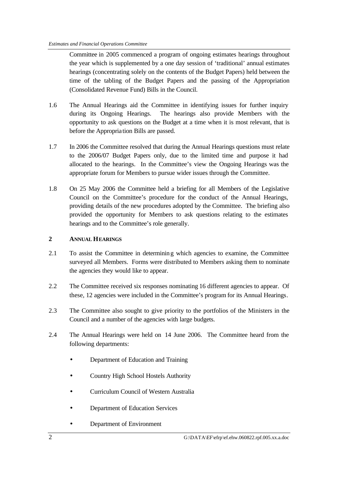Committee in 2005 commenced a program of ongoing estimates hearings throughout the year which is supplemented by a one day session of 'traditional' annual estimates hearings (concentrating solely on the contents of the Budget Papers) held between the time of the tabling of the Budget Papers and the passing of the Appropriation (Consolidated Revenue Fund) Bills in the Council.

- 1.6 The Annual Hearings aid the Committee in identifying issues for further inquiry during its Ongoing Hearings. The hearings also provide Members with the opportunity to ask questions on the Budget at a time when it is most relevant, that is before the Appropria tion Bills are passed.
- 1.7 In 2006 the Committee resolved that during the Annual Hearings questions must relate to the 2006/07 Budget Papers only, due to the limited time and purpose it had allocated to the hearings. In the Committee's view the Ongoing Hearings was the appropriate forum for Members to pursue wider issues through the Committee.
- 1.8 On 25 May 2006 the Committee held a briefing for all Members of the Legislative Council on the Committee's procedure for the conduct of the Annual Hearings, providing details of the new procedures adopted by the Committee. The briefing also provided the opportunity for Members to ask questions relating to the estimates hearings and to the Committee's role generally.

### **2 ANNUAL HEARINGS**

- 2.1 To assist the Committee in determining which agencies to examine, the Committee surveyed all Members. Forms were distributed to Members asking them to nominate the agencies they would like to appear.
- 2.2 The Committee received six responses nominating 16 different agencies to appear. Of these, 12 agencies were included in the Committee's program for its Annual Hearings.
- 2.3 The Committee also sought to give priority to the portfolios of the Ministers in the Council and a number of the agencies with large budgets.
- 2.4 The Annual Hearings were held on 14 June 2006. The Committee heard from the following departments:
	- Department of Education and Training
	- Country High School Hostels Authority
	- Curriculum Council of Western Australia
	- Department of Education Services
	- Department of Environment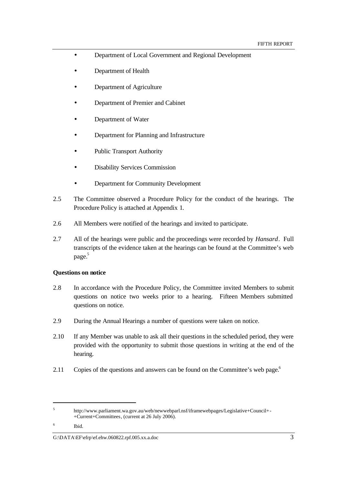- Department of Local Government and Regional Development
- Department of Health
- Department of Agriculture
- Department of Premier and Cabinet
- Department of Water
- Department for Planning and Infrastructure
- Public Transport Authority
- Disability Services Commission
- Department for Community Development
- 2.5 The Committee observed a Procedure Policy for the conduct of the hearings. The Procedure Policy is attached at Appendix 1.
- 2.6 All Members were notified of the hearings and invited to participate.
- 2.7 All of the hearings were public and the proceedings were recorded by *Hansard*. Full transcripts of the evidence taken at the hearings can be found at the Committee's web page. 5

### **Questions on notice**

- 2.8 In accordance with the Procedure Policy, the Committee invited Members to submit questions on notice two weeks prior to a hearing. Fifteen Members submitted questions on notice.
- 2.9 During the Annual Hearings a number of questions were taken on notice.
- 2.10 If any Member was unable to ask all their questions in the scheduled period, they were provided with the opportunity to submit those questions in writing at the end of the hearing.
- 2.11 Copies of the questions and answers can be found on the Committee's web page.<sup>6</sup>

l

### G: $\Delta$ Kata $\langle$ EF\efrp\ef.ehw.060822.rpf.005.xx.a.doc 3

<sup>5</sup> http://www.parliament.wa.gov.au/web/newwebparl.nsf/iframewebpages/Legislative+Council+- +Current+Committees, (current at 26 July 2006).

<sup>6</sup> Ibid.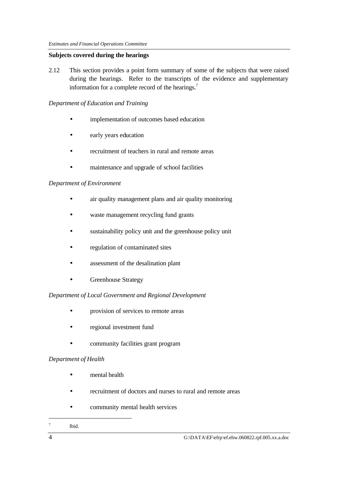### **Subjects covered during the hearings**

2.12 This section provides a point form summary of some of the subjects that were raised during the hearings. Refer to the transcripts of the evidence and supplementary information for a complete record of the hearings.<sup>7</sup>

### *Department of Education and Training*

- implementation of outcomes based education
- early years education
- recruitment of teachers in rural and remote areas
- maintenance and upgrade of school facilities

### *Department of Environment*

- air quality management plans and air quality monitoring
- waste management recycling fund grants
- sustainability policy unit and the greenhouse policy unit
- regulation of contaminated sites
- assessment of the desalination plant
- Greenhouse Strategy

### *Department of Local Government and Regional Development*

- provision of services to remote areas
- regional investment fund
- community facilities grant program

### *Department of Health*

- mental health
- recruitment of doctors and nurses to rural and remote areas
- community mental health services

#### 7 Ibid.

l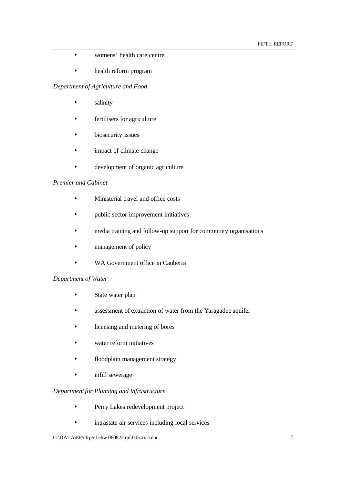- womens' health care centre
- health reform program

### *Department of Agriculture and Food*

- salinity
- fertilisers for agriculture
- biosecurity issues
- impact of climate change
- development of organic agriculture

### *Premier and Cabinet*

- Ministerial travel and office costs
- public sector improvement initiatives
- media training and follow-up support for community organisations
- management of policy
- WA Government office in Canberra

### *Department of Water*

- State water plan
- assessment of extraction of water from the Yaragadee aquifer
- licensing and metering of bores
- water reform initiatives
- floodplain management strategy
- infill sewerage

### *Departmentfor Planning and Infrastructure*

- Perry Lakes redevelopment project
- intrastate air services including local services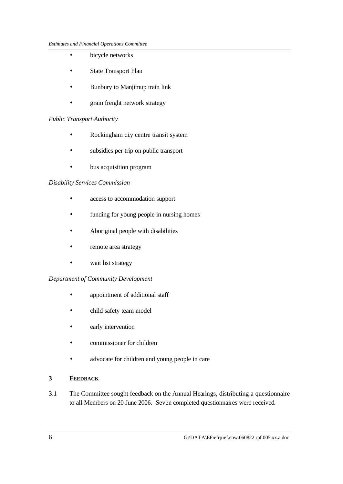- bicycle networks
- State Transport Plan
- Bunbury to Manjimup train link
- grain freight network strategy

### *Public Transport Authority*

- Rockingham city centre transit system
- subsidies per trip on public transport
- bus acquisition program

### *Disability Services Commission*

- access to accommodation support
- funding for young people in nursing homes
- Aboriginal people with disabilities
- remote area strategy
- wait list strategy

### *Department of Community Development*

- appointment of additional staff
- child safety team model
- early intervention
- commissioner for children
- advocate for children and young people in care

### **3 FEEDBACK**

3.1 The Committee sought feedback on the Annual Hearings, distributing a questionnaire to all Members on 20 June 2006. Seven completed questionnaires were received.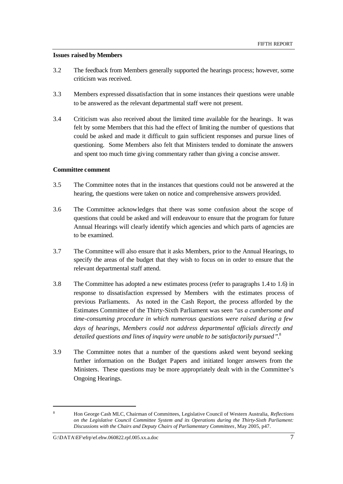#### **Issues raised by Members**

- 3.2 The feedback from Members generally supported the hearings process; however, some criticism was received.
- 3.3 Members expressed dissatisfaction that in some instances their questions were unable to be answered as the relevant departmental staff were not present.
- 3.4 Criticism was also received about the limited time available for the hearings. It was felt by some Members that this had the effect of limiting the number of questions that could be asked and made it difficult to gain sufficient responses and pursue lines of questioning. Some Members also felt that Ministers tended to dominate the answers and spent too much time giving commentary rather than giving a concise answer.

### **Committee comment**

- 3.5 The Committee notes that in the instances that questions could not be answered at the hearing, the questions were taken on notice and comprehensive answers provided.
- 3.6 The Committee acknowledges that there was some confusion about the scope of questions that could be asked and will endeavour to ensure that the program for future Annual Hearings will clearly identify which agencies and which parts of agencies are to be examined.
- 3.7 The Committee will also ensure that it asks Members, prior to the Annual Hearings, to specify the areas of the budget that they wish to focus on in order to ensure that the relevant departmental staff attend.
- 3.8 The Committee has adopted a new estimates process (refer to paragraphs 1.4 to 1.6) in response to dissatisfaction expressed by Members with the estimates process of previous Parliaments. As noted in the Cash Report, the process afforded by the Estimates Committee of the Thirty-Sixth Parliament was seen "*as a cumbersome and time-consuming procedure in which numerous questions were raised during a few days of hearings, Members could not address departmental officials directly and detailed questions and lines of inquiry were unable to be satisfactorily pursued".* 8
- 3.9 The Committee notes that a number of the questions asked went beyond seeking further information on the Budget Papers and initiated longer answers from the Ministers. These questions may be more appropriately dealt with in the Committee's Ongoing Hearings.

l

<sup>8</sup> Hon George Cash MLC, Chairman of Committees, Legislative Council of Western Australia, *Reflections on the Legislative Council Committee System and its Operations during the Thirty-Sixth Parliament: Discussions with the Chairs and Deputy Chairs of Parliamentary Committees*, May 2005, p47.

G: $\Delta$ Kata $\langle$ EF $\rangle$ efr $\rangle$ ef.ehw.060822.rpf.005.xx.a.doc 7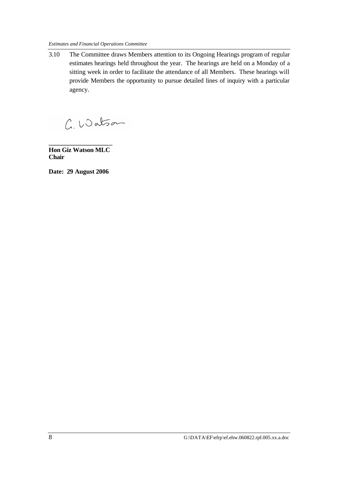3.10 The Committee draws Members attention to its Ongoing Hearings program of regular estimates hearings held throughout the year. The hearings are held on a Monday of a sitting week in order to facilitate the attendance of all Members. These hearings will provide Members the opportunity to pursue detailed lines of inquiry with a particular agency.

C. Watson

**\_\_\_\_\_\_\_\_\_\_\_\_\_\_\_\_\_\_\_\_ Hon Giz Watson MLC Chair**

**Date: 29 August 2006**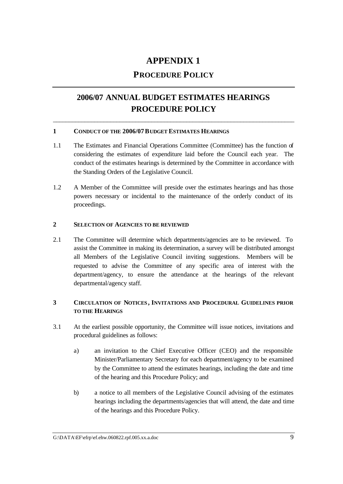### **APPENDIX 1**

### **PROCEDURE POLICY**

### **2006/07 ANNUAL BUDGET ESTIMATES HEARINGS PROCEDURE POLICY**

\_\_\_\_\_\_\_\_\_\_\_\_\_\_\_\_\_\_\_\_\_\_\_\_\_\_\_\_\_\_\_\_\_\_\_\_\_\_\_\_\_\_\_\_\_\_\_\_\_\_\_\_\_\_\_\_\_\_\_\_\_\_\_\_\_\_\_\_\_\_\_\_\_\_\_\_

### **1 CONDUCT OF THE 2006/07BUDGET ESTIMATES HEARINGS**

- 1.1 The Estimates and Financial Operations Committee (Committee) has the function of considering the estimates of expenditure laid before the Council each year. The conduct of the estimates hearings is determined by the Committee in accordance with the Standing Orders of the Legislative Council.
- 1.2 A Member of the Committee will preside over the estimates hearings and has those powers necessary or incidental to the maintenance of the orderly conduct of its proceedings.

### **2 SELECTION OF AGENCIES TO BE REVIEWED**

2.1 The Committee will determine which departments/agencies are to be reviewed. To assist the Committee in making its determination, a survey will be distributed amongst all Members of the Legislative Council inviting suggestions. Members will be requested to advise the Committee of any specific area of interest with the department/agency, to ensure the attendance at the hearings of the relevant departmental/agency staff.

### **3 CIRCULATION OF NOTICES , INVITATIONS AND PROCEDURAL GUIDELINES PRIOR TO THE HEARINGS**

- 3.1 At the earliest possible opportunity, the Committee will issue notices, invitations and procedural guidelines as follows:
	- a) an invitation to the Chief Executive Officer (CEO) and the responsible Minister/Parliamentary Secretary for each department/agency to be examined by the Committee to attend the estimates hearings, including the date and time of the hearing and this Procedure Policy; and
	- b) a notice to all members of the Legislative Council advising of the estimates hearings including the departments/agencies that will attend, the date and time of the hearings and this Procedure Policy.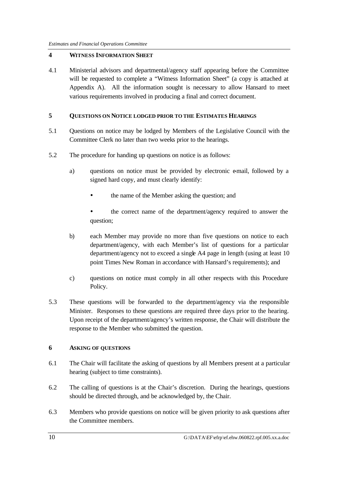### **4 WITNESS INFORMATION SHEET**

4.1 Ministerial advisors and departmental/agency staff appearing before the Committee will be requested to complete a "Witness Information Sheet" (a copy is attached at Appendix A). All the information sought is necessary to allow Hansard to meet various requirements involved in producing a final and correct document.

### **5 QUESTIONS ON NOTICE LODGED PRIOR TO THE ESTIMATES HEARINGS**

- 5.1 Questions on notice may be lodged by Members of the Legislative Council with the Committee Clerk no later than two weeks prior to the hearings.
- 5.2 The procedure for handing up questions on notice is as follows:
	- a) questions on notice must be provided by electronic e-mail, followed by a signed hard copy, and must clearly identify:
		- the name of the Member asking the question; and
		- the correct name of the department/agency required to answer the question;
	- b) each Member may provide no more than five questions on notice to each department/agency, with each Member's list of questions for a particular department/agency not to exceed a single A4 page in length (using at least 10 point Times New Roman in accordance with Hansard's requirements); and
	- c) questions on notice must comply in all other respects with this Procedure Policy.
- 5.3 These questions will be forwarded to the department/agency via the responsible Minister. Responses to these questions are required three days prior to the hearing. Upon receipt of the department/agency's written response, the Chair will distribute the response to the Member who submitted the question.

### **6 ASKING OF QUESTIONS**

- 6.1 The Chair will facilitate the asking of questions by all Members present at a particular hearing (subject to time constraints).
- 6.2 The calling of questions is at the Chair's discretion. During the hearings, questions should be directed through, and be acknowledged by, the Chair.
- 6.3 Members who provide questions on notice will be given priority to ask questions after the Committee members.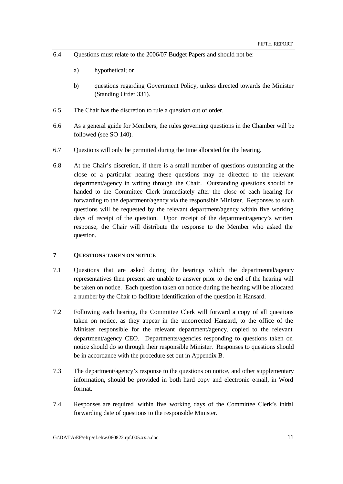- 6.4 Questions must relate to the 2006/07 Budget Papers and should not be:
	- a) hypothetical; or
	- b) questions regarding Government Policy, unless directed towards the Minister (Standing Order 331).
- 6.5 The Chair has the discretion to rule a question out of order.
- 6.6 As a general guide for Members, the rules governing questions in the Chamber will be followed (see SO 140).
- 6.7 Questions will only be permitted during the time allocated for the hearing.
- 6.8 At the Chair's discretion, if there is a small number of questions outstanding at the close of a particular hearing these questions may be directed to the relevant department/agency in writing through the Chair. Outstanding questions should be handed to the Committee Clerk immediately after the close of each hearing for forwarding to the department/agency via the responsible Minister. Responses to such questions will be requested by the relevant department/agency within five working days of receipt of the question. Upon receipt of the department/agency's written response, the Chair will distribute the response to the Member who asked the question.

### **7 QUESTIONS TAKEN ON NOTICE**

- 7.1 Questions that are asked during the hearings which the departmental/agency representatives then present are unable to answer prior to the end of the hearing will be taken on notice. Each question taken on notice during the hearing will be allocated a number by the Chair to facilitate identification of the question in Hansard.
- 7.2 Following each hearing, the Committee Clerk will forward a copy of all questions taken on notice, as they appear in the uncorrected Hansard, to the office of the Minister responsible for the relevant department/agency, copied to the relevant department/agency CEO. Departments/agencies responding to questions taken on notice should do so through their responsible Minister. Responses to questions should be in accordance with the procedure set out in Appendix B.
- 7.3 The department/agency's response to the questions on notice, and other supplementary information, should be provided in both hard copy and electronic e-mail, in Word format.
- 7.4 Responses are required within five working days of the Committee Clerk's initial forwarding date of questions to the responsible Minister.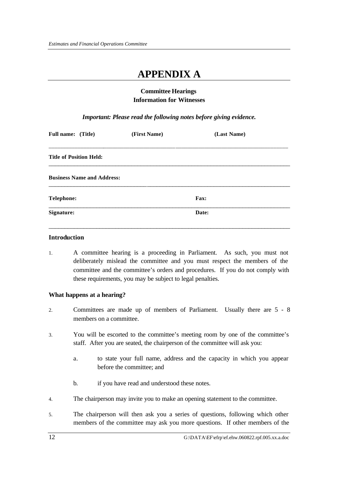## **APPENDIX A**

### **Committee Hearings Information for Witnesses**

*Important: Please read the following notes before giving evidence.*

| (First Name) | (Last Name) |  |
|--------------|-------------|--|
|              |             |  |
|              |             |  |
|              | <b>Fax:</b> |  |
|              | Date:       |  |
|              |             |  |

### **Introduction**

1. A committee hearing is a proceeding in Parliament. As such, you must not deliberately mislead the committee and you must respect the members of the committee and the committee's orders and procedures. If you do not comply with these requirements, you may be subject to legal penalties.

### **What happens at a hearing?**

- 2. Committees are made up of members of Parliament. Usually there are 5 8 members on a committee.
- 3. You will be escorted to the committee's meeting room by one of the committee's staff. After you are seated, the chairperson of the committee will ask you:
	- a. to state your full name, address and the capacity in which you appear before the committee; and
	- b. if you have read and understood these notes.
- 4. The chairperson may invite you to make an opening statement to the committee.
- 5. The chairperson will then ask you a series of questions, following which other members of the committee may ask you more questions. If other members of the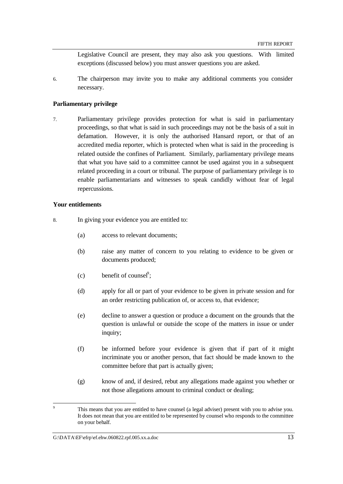Legislative Council are present, they may also ask you questions. With limited exceptions (discussed below) you must answer questions you are asked.

6. The chairperson may invite you to make any additional comments you consider necessary.

### **Parliamentary privilege**

7. Parliamentary privilege provides protection for what is said in parliamentary proceedings, so that what is said in such proceedings may not be the basis of a suit in defamation. However, it is only the authorised Hansard report, or that of an accredited media reporter, which is protected when what is said in the proceeding is related outside the confines of Parliament. Similarly, parliamentary privilege means that what you have said to a committee cannot be used against you in a subsequent related proceeding in a court or tribunal. The purpose of parliamentary privilege is to enable parliamentarians and witnesses to speak candidly without fear of legal repercussions.

### **Your entitlements**

- 8. In giving your evidence you are entitled to:
	- (a) access to relevant documents;
	- (b) raise any matter of concern to you relating to evidence to be given or documents produced;
	- (c) benefit of counsel<sup>9</sup>;
	- (d) apply for all or part of your evidence to be given in private session and for an order restricting publication of, or access to, that evidence;
	- (e) decline to answer a question or produce a document on the grounds that the question is unlawful or outside the scope of the matters in issue or under inquiry;
	- (f) be informed before your evidence is given that if part of it might incriminate you or another person, that fact should be made known to the committee before that part is actually given;
	- (g) know of and, if desired, rebut any allegations made against you whether or not those allegations amount to criminal conduct or dealing;

### G: $\Delta$ Kata $\langle$ EF $\rangle$ efrp $\langle$ ef.ehw.060822.rpf.005.xx.a.doc 13

l 9 This means that you are entitled to have counsel (a legal adviser) present with you to advise you. It does not mean that you are entitled to be represented by counsel who responds to the committee on your behalf.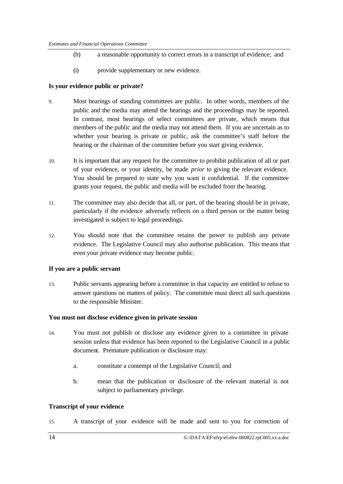- (h) a reasonable opportunity to correct errors in a transcript of evidence; and
- (i) provide supplementary or new evidence.

### **Is your evidence public or private?**

- 9. Most hearings of standing committees are public. In other words, members of the public and the media may attend the hearings and the proceedings may be reported. In contrast, most hearings of select committees are private, which means that members of the public and the media may not attend them. If you are uncertain as to whether your hearing is private or public, ask the committee's staff before the hearing or the chairman of the committee before you start giving evidence.
- 10. It is important that any request for the committee to prohibit publication of all or part of your evidence, or your identity, be made *prior* to giving the relevant evidence. You should be prepared to state why you want it confidential. If the committee grants your request, the public and media will be excluded from the hearing.
- 11. The committee may also decide that all, or part, of the hearing should be in private, particularly if the evidence adversely reflects on a third person or the matter being investigated is subject to legal proceedings.
- 12. You should note that the committee retains the power to publish any private evidence. The Legislative Council may also authorise publication. This means that even your private evidence may become public.

### **If you are a public servant**

13. Public servants appearing before a committee in that capacity are entitled to refuse to answer questions on matters of policy. The committee must direct all such questions to the responsible Minister.

### **You must not disclose evidence given in private session**

- 14. You must not publish or disclose any evidence given to a committee in private session unless that evidence has been reported to the Legislative Council in a public document. Premature publication or disclosure may:
	- a. constitute a contempt of the Legislative Council; and
	- b. mean that the publication or disclosure of the relevant material is not subject to parliamentary privilege.

### **Transcript of your evidence**

15. A transcript of your evidence will be made and sent to you for correction of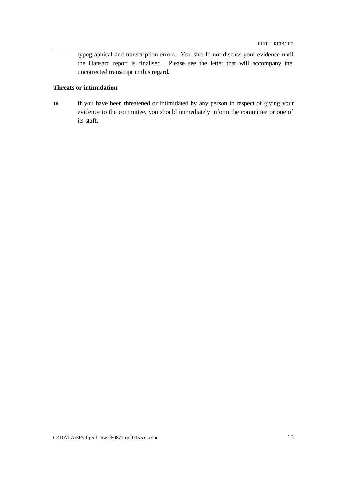typographical and transcription errors. You should not discuss your evidence until the Hansard report is finalised. Please see the letter that will accompany the uncorrected transcript in this regard.

### **Threats or intimidation**

16. If you have been threatened or intimidated by any person in respect of giving your evidence to the committee, you should immediately inform the committee or one of its staff.